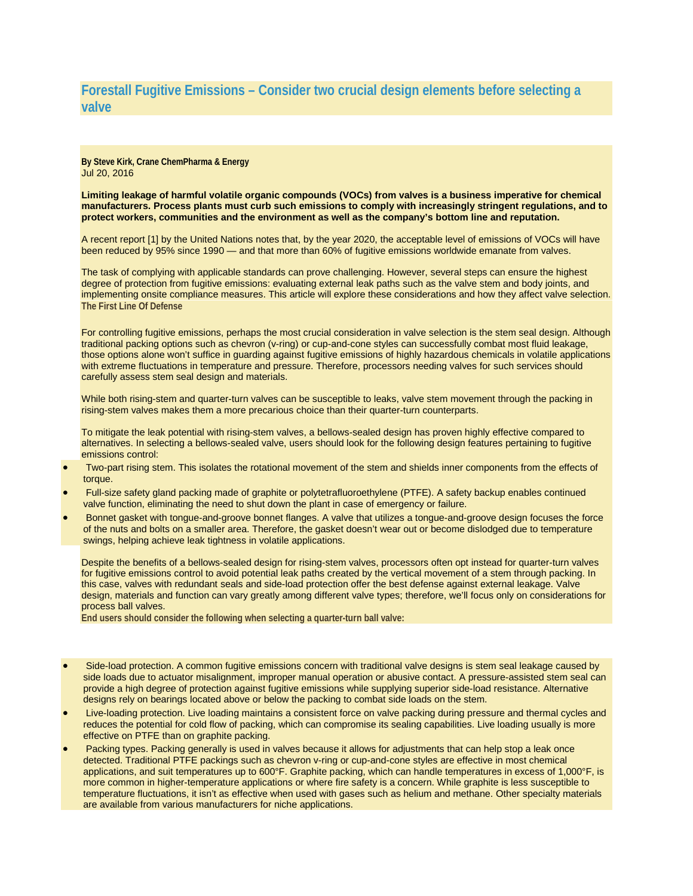## **Forestall Fugitive Emissions – Consider two crucial design elements before selecting a valve**

**By Steve Kirk, Crane ChemPharma & Energy** Jul 20, 2016

**Limiting leakage of harmful volatile organic compounds (VOCs) from valves is a business imperative for chemical manufacturers. Process plants must curb such emissions to comply with increasingly stringent regulations, and to protect workers, communities and the environment as well as the company's bottom line and reputation.**

A recent report [1] by the United Nations notes that, by the year 2020, the acceptable level of emissions of VOCs will have been reduced by 95% since 1990 — and that more than 60% of fugitive emissions worldwide emanate from valves.

The task of complying with applicable standards can prove challenging. However, several steps can ensure the highest degree of protection from fugitive emissions: evaluating external leak paths such as the valve stem and body joints, and implementing onsite compliance measures. This article will explore these considerations and how they affect valve selection. **The First Line Of Defense**

For controlling fugitive emissions, perhaps the most crucial consideration in valve selection is the stem seal design. Although traditional packing options such as chevron (v-ring) or cup-and-cone styles can successfully combat most fluid leakage, those options alone won't suffice in guarding against fugitive emissions of highly hazardous chemicals in volatile applications with extreme fluctuations in temperature and pressure. Therefore, processors needing valves for such services should carefully assess stem seal design and materials.

While both rising-stem and quarter-turn valves can be susceptible to leaks, valve stem movement through the packing in rising-stem valves makes them a more precarious choice than their quarter-turn counterparts.

To mitigate the leak potential with rising-stem valves, a bellows-sealed design has proven highly effective compared to alternatives. In selecting a bellows-sealed valve, users should look for the following design features pertaining to fugitive emissions control:

- Two-part rising stem. This isolates the rotational movement of the stem and shields inner components from the effects of torque.
- Full-size safety gland packing made of graphite or polytetrafluoroethylene (PTFE). A safety backup enables continued valve function, eliminating the need to shut down the plant in case of emergency or failure.
- Bonnet gasket with tongue-and-groove bonnet flanges. A valve that utilizes a tongue-and-groove design focuses the force of the nuts and bolts on a smaller area. Therefore, the gasket doesn't wear out or become dislodged due to temperature swings, helping achieve leak tightness in volatile applications.

Despite the benefits of a bellows-sealed design for rising-stem valves, processors often opt instead for quarter-turn valves for fugitive emissions control to avoid potential leak paths created by the vertical movement of a stem through packing. In this case, valves with redundant seals and side-load protection offer the best defense against external leakage. Valve design, materials and function can vary greatly among different valve types; therefore, we'll focus only on considerations for process ball valves.

**End users should consider the following when selecting a quarter-turn ball valve:**

- Side-load protection. A common fugitive emissions concern with traditional valve designs is stem seal leakage caused by side loads due to actuator misalignment, improper manual operation or abusive contact. A pressure-assisted stem seal can provide a high degree of protection against fugitive emissions while supplying superior side-load resistance. Alternative designs rely on bearings located above or below the packing to combat side loads on the stem.
- Live-loading protection. Live loading maintains a consistent force on valve packing during pressure and thermal cycles and reduces the potential for cold flow of packing, which can compromise its sealing capabilities. Live loading usually is more effective on PTFE than on graphite packing.
- Packing types. Packing generally is used in valves because it allows for adjustments that can help stop a leak once detected. Traditional PTFE packings such as chevron v-ring or cup-and-cone styles are effective in most chemical applications, and suit temperatures up to 600°F. Graphite packing, which can handle temperatures in excess of 1,000°F, is more common in higher-temperature applications or where fire safety is a concern. While graphite is less susceptible to temperature fluctuations, it isn't as effective when used with gases such as helium and methane. Other specialty materials are available from various manufacturers for niche applications.